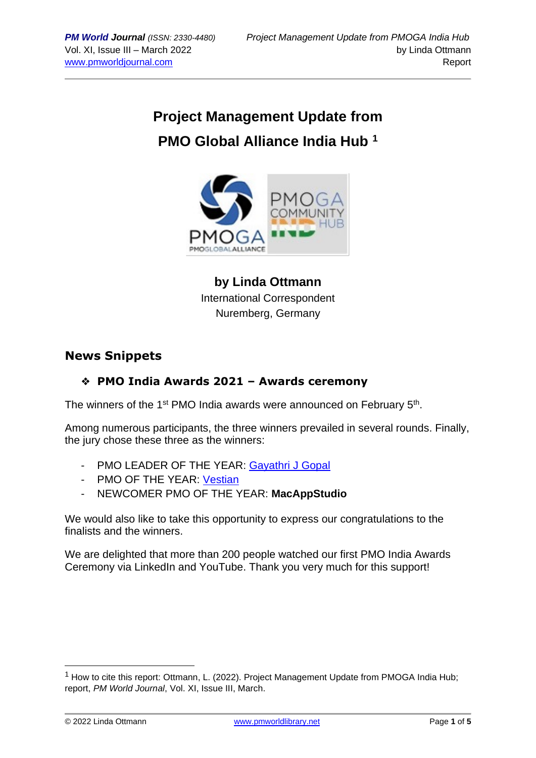# **Project Management Update from PMO Global Alliance India Hub <sup>1</sup>**



**by Linda Ottmann** International Correspondent Nuremberg, Germany

## **News Snippets**

## ❖ **PMO India Awards 2021 – Awards ceremony**

The winners of the 1<sup>st</sup> PMO India awards were announced on February 5<sup>th</sup>.

Among numerous participants, the three winners prevailed in several rounds. Finally, the jury chose these three as the winners:

- PMO LEADER OF THE YEAR: [Gayathri](https://www.linkedin.com/in/gayathri-j-gopal-24a746173/) J Gopal
- PMO OF THE YEAR: [Vestian](https://www.linkedin.com/company/vestian-global-workplace-solutions/)
- NEWCOMER PMO OF THE YEAR: **MacAppStudio**

We would also like to take this opportunity to express our congratulations to the finalists and the winners.

We are delighted that more than 200 people watched our first PMO India Awards Ceremony via LinkedIn and YouTube. Thank you very much for this support!

 $<sup>1</sup>$  How to cite this report: Ottmann, L. (2022). Project Management Update from PMOGA India Hub;</sup> report, *PM World Journal*, Vol. XI, Issue III, March.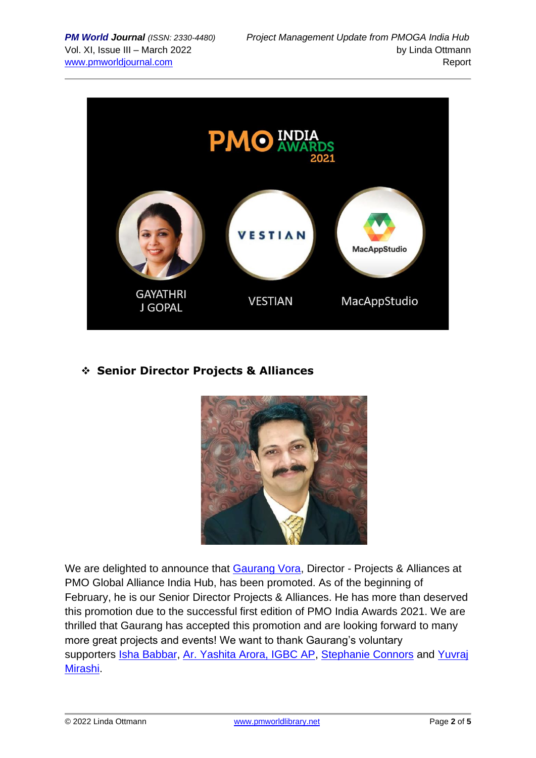

## ❖ **Senior Director Projects & Alliances**



We are delighted to announce that [Gaurang Vora,](https://www.linkedin.com/in/ACoAAAQsyiIBCe06J2f0sLSUuUWxNCWRfoI7D1Y) Director - Projects & Alliances at PMO Global Alliance India Hub, has been promoted. As of the beginning of February, he is our Senior Director Projects & Alliances. He has more than deserved this promotion due to the successful first edition of PMO India Awards 2021. We are thrilled that Gaurang has accepted this promotion and are looking forward to many more great projects and events! We want to thank Gaurang's voluntary supporters [Isha Babbar,](https://www.linkedin.com/in/ACoAAAMY9sABsPxvy-C-3sVRraEf25vBRgBw2kc) [Ar. Yashita Arora, IGBC AP,](https://www.linkedin.com/in/ACoAAARaGhcBXhEM67xNOY0Lj5FIBTaOyP3mP9k) [Stephanie Connors](https://www.linkedin.com/in/ACoAADXZ_b0BxpwvQUhvkGq4WbbFK29OPrJFF0k) and [Yuvraj](https://www.linkedin.com/in/ACoAAAP-qvABVQTB--_Dj_UoN04Re8ZY5xV80_c)  [Mirashi.](https://www.linkedin.com/in/ACoAAAP-qvABVQTB--_Dj_UoN04Re8ZY5xV80_c)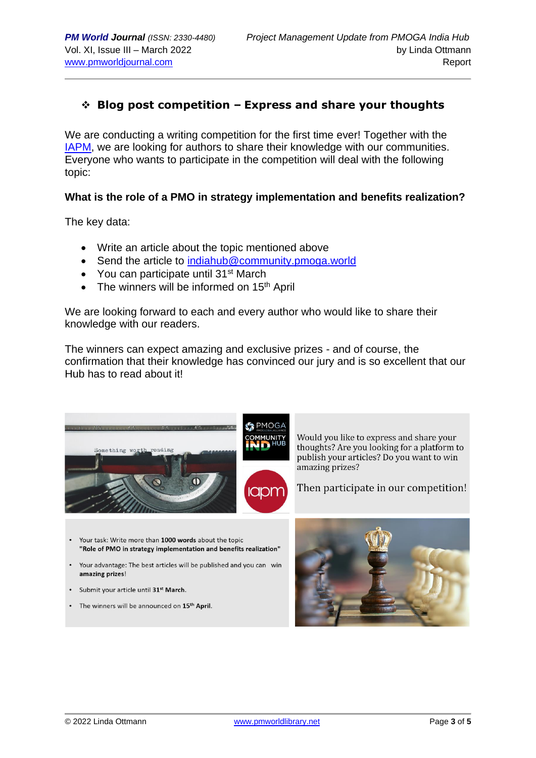## ❖ **Blog post competition – Express and share your thoughts**

We are conducting a writing competition for the first time ever! Together with the [IAPM,](https://www.iapm.net/en/start/) we are looking for authors to share their knowledge with our communities. Everyone who wants to participate in the competition will deal with the following topic:

#### **What is the role of a PMO in strategy implementation and benefits realization?**

The key data:

- Write an article about the topic mentioned above
- Send the article to [indiahub@community.pmoga.world](mailto:indiahub@community.pmoga.world)
- You can participate until 31<sup>st</sup> March
- The winners will be informed on  $15<sup>th</sup>$  April

We are looking forward to each and every author who would like to share their knowledge with our readers.

The winners can expect amazing and exclusive prizes - and of course, the confirmation that their knowledge has convinced our jury and is so excellent that our Hub has to read about it!

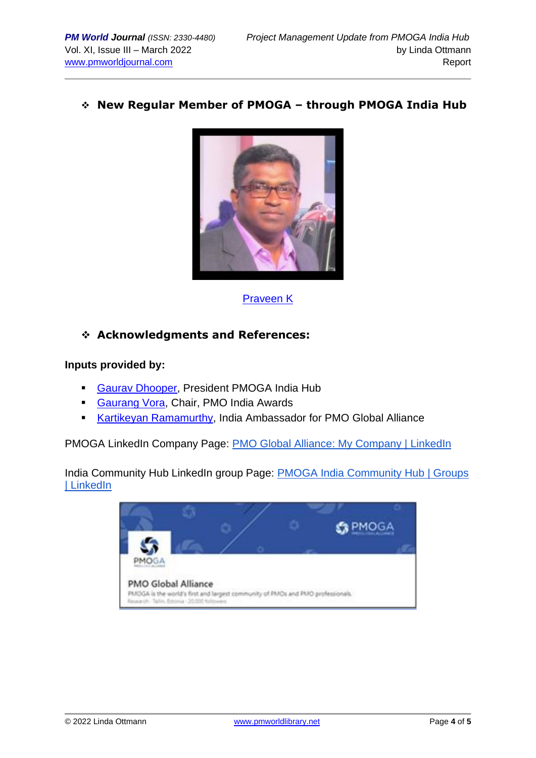### ❖ **New Regular Member of PMOGA – through PMOGA India Hub**



[Praveen K](https://www.linkedin.com/in/praveenk-zev/)

## ❖ **Acknowledgments and References:**

#### **Inputs provided by:**

- **[Gaurav Dhooper,](https://www.linkedin.com/in/gaurav-dhooper-pal-i%C2%AE-pmi-acp%C2%AE-safe4%C2%AE-csm%C2%AE-lss-gb-b871a5a/) President PMOGA India Hub**
- [Gaurang Vora,](https://www.linkedin.com/in/gaurang-vora-a0255a1b/) Chair, PMO India Awards
- [Kartikeyan Ramamurthy,](https://www.linkedin.com/in/kartikeyan-ramamurthy-pmp%C2%AE-pfmp%C2%AE-pmo-cp%C2%AE-safe-5%C2%AE-agilist-555b3714/) India Ambassador for PMO Global Alliance

PMOGA LinkedIn Company Page: [PMO Global Alliance: My Company | LinkedIn](https://www.linkedin.com/company/pmoga/mycompany/)

India Community Hub LinkedIn group Page: [PMOGA India Community Hub | Groups](https://www.linkedin.com/groups/13985237/)  [| LinkedIn](https://www.linkedin.com/groups/13985237/)